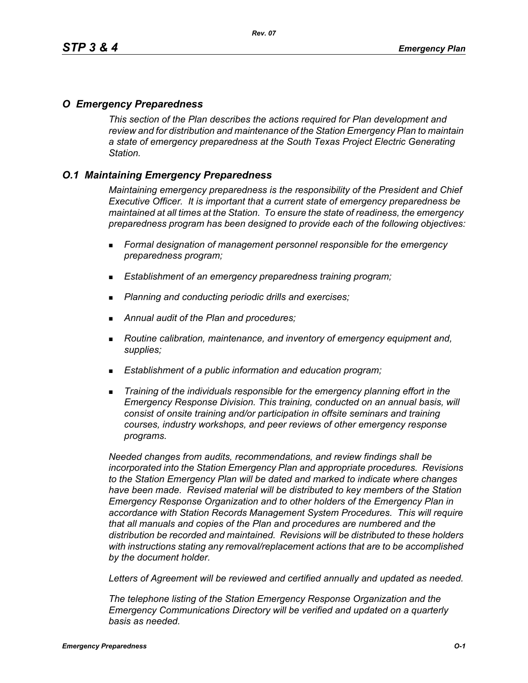## *O Emergency Preparedness*

*This section of the Plan describes the actions required for Plan development and review and for distribution and maintenance of the Station Emergency Plan to maintain a state of emergency preparedness at the South Texas Project Electric Generating Station.*

## *O.1 Maintaining Emergency Preparedness*

*Maintaining emergency preparedness is the responsibility of the President and Chief Executive Officer. It is important that a current state of emergency preparedness be maintained at all times at the Station. To ensure the state of readiness, the emergency preparedness program has been designed to provide each of the following objectives:*

- *Formal designation of management personnel responsible for the emergency preparedness program;*
- *Establishment of an emergency preparedness training program;*
- *Planning and conducting periodic drills and exercises;*
- *Annual audit of the Plan and procedures;*
- *Routine calibration, maintenance, and inventory of emergency equipment and, supplies;*
- *Establishment of a public information and education program;*
- *Training of the individuals responsible for the emergency planning effort in the Emergency Response Division. This training, conducted on an annual basis, will consist of onsite training and/or participation in offsite seminars and training courses, industry workshops, and peer reviews of other emergency response programs.*

*Needed changes from audits, recommendations, and review findings shall be incorporated into the Station Emergency Plan and appropriate procedures. Revisions to the Station Emergency Plan will be dated and marked to indicate where changes have been made. Revised material will be distributed to key members of the Station Emergency Response Organization and to other holders of the Emergency Plan in accordance with Station Records Management System Procedures. This will require that all manuals and copies of the Plan and procedures are numbered and the distribution be recorded and maintained. Revisions will be distributed to these holders with instructions stating any removal/replacement actions that are to be accomplished by the document holder.*

*Letters of Agreement will be reviewed and certified annually and updated as needed.*

*The telephone listing of the Station Emergency Response Organization and the Emergency Communications Directory will be verified and updated on a quarterly basis as needed.*